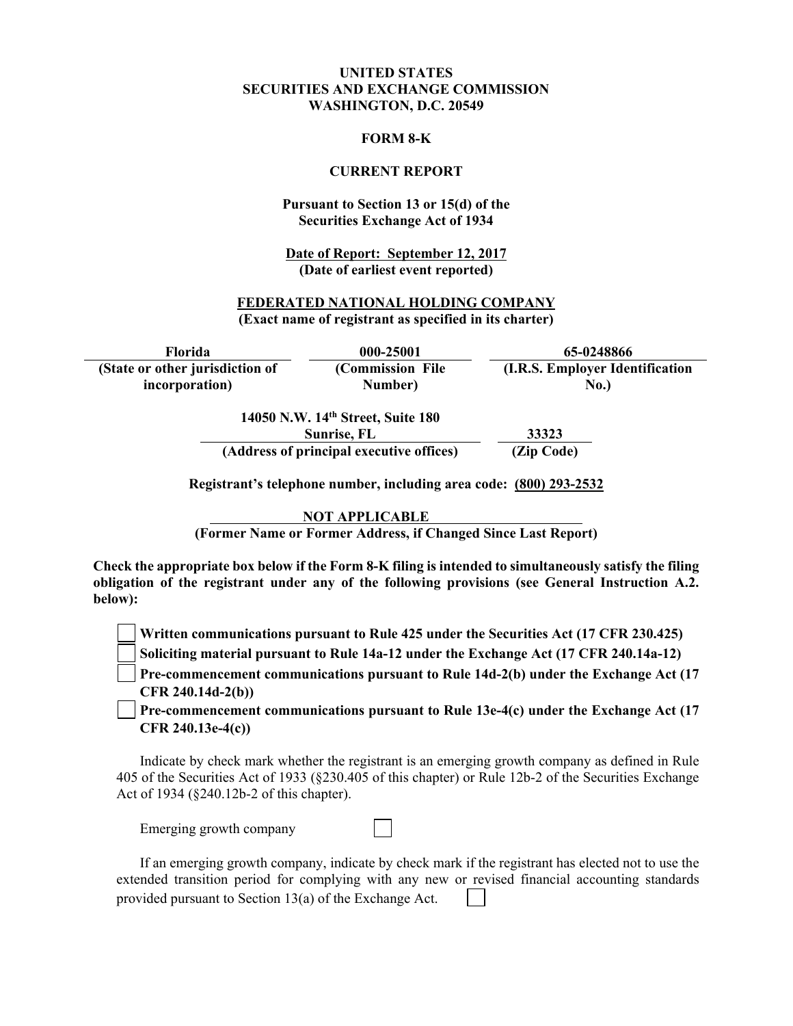### **UNITED STATES SECURITIES AND EXCHANGE COMMISSION WASHINGTON, D.C. 20549**

#### **FORM 8-K**

#### **CURRENT REPORT**

### **Pursuant to Section 13 or 15(d) of the Securities Exchange Act of 1934**

**Date of Report: September 12, 2017 (Date of earliest event reported)**

### **FEDERATED NATIONAL HOLDING COMPANY (Exact name of registrant as specified in its charter)**

**Florida 000-25001 65-0248866 (State or other jurisdiction of incorporation) (Commission File Number) (I.R.S. Employer Identification No.)** 

> **14050 N.W. 14th Street, Suite 180 Sunrise, FL 33323 (Address of principal executive offices) (Zip Code)**

**Registrant's telephone number, including area code: (800) 293-2532** 

**NOT APPLICABLE** 

**(Former Name or Former Address, if Changed Since Last Report)** 

**Check the appropriate box below if the Form 8-K filing is intended to simultaneously satisfy the filing obligation of the registrant under any of the following provisions (see General Instruction A.2. below):** 

**Written communications pursuant to Rule 425 under the Securities Act (17 CFR 230.425)** 

**Soliciting material pursuant to Rule 14a-12 under the Exchange Act (17 CFR 240.14a-12)**

**Pre-commencement communications pursuant to Rule 14d-2(b) under the Exchange Act (17 CFR 240.14d-2(b))**

**Pre-commencement communications pursuant to Rule 13e-4(c) under the Exchange Act (17 CFR 240.13e-4(c))** 

Indicate by check mark whether the registrant is an emerging growth company as defined in Rule 405 of the Securities Act of 1933 (§230.405 of this chapter) or Rule 12b-2 of the Securities Exchange Act of 1934 (§240.12b-2 of this chapter).

Emerging growth company

If an emerging growth company, indicate by check mark if the registrant has elected not to use the extended transition period for complying with any new or revised financial accounting standards provided pursuant to Section 13(a) of the Exchange Act.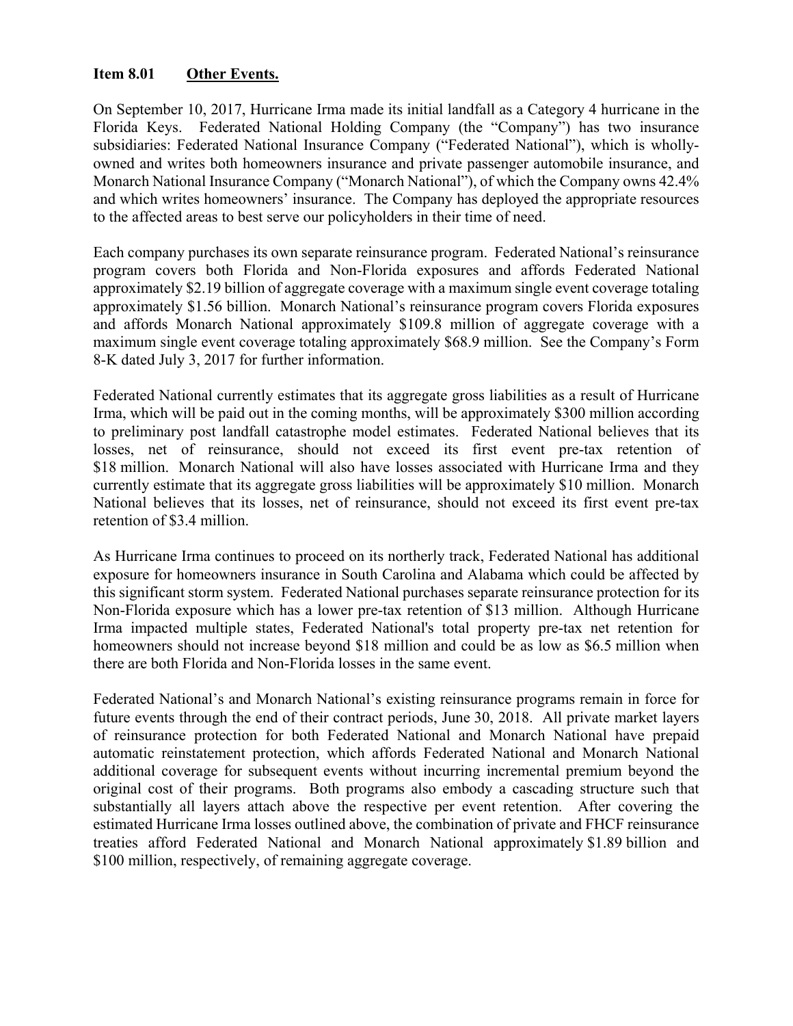# **Item 8.01 Other Events.**

On September 10, 2017, Hurricane Irma made its initial landfall as a Category 4 hurricane in the Florida Keys. Federated National Holding Company (the "Company") has two insurance subsidiaries: Federated National Insurance Company ("Federated National"), which is whollyowned and writes both homeowners insurance and private passenger automobile insurance, and Monarch National Insurance Company ("Monarch National"), of which the Company owns 42.4% and which writes homeowners' insurance. The Company has deployed the appropriate resources to the affected areas to best serve our policyholders in their time of need.

Each company purchases its own separate reinsurance program. Federated National's reinsurance program covers both Florida and Non-Florida exposures and affords Federated National approximately \$2.19 billion of aggregate coverage with a maximum single event coverage totaling approximately \$1.56 billion. Monarch National's reinsurance program covers Florida exposures and affords Monarch National approximately \$109.8 million of aggregate coverage with a maximum single event coverage totaling approximately \$68.9 million. See the Company's Form 8-K dated July 3, 2017 for further information.

Federated National currently estimates that its aggregate gross liabilities as a result of Hurricane Irma, which will be paid out in the coming months, will be approximately \$300 million according to preliminary post landfall catastrophe model estimates. Federated National believes that its losses, net of reinsurance, should not exceed its first event pre-tax retention of \$18 million. Monarch National will also have losses associated with Hurricane Irma and they currently estimate that its aggregate gross liabilities will be approximately \$10 million. Monarch National believes that its losses, net of reinsurance, should not exceed its first event pre-tax retention of \$3.4 million.

As Hurricane Irma continues to proceed on its northerly track, Federated National has additional exposure for homeowners insurance in South Carolina and Alabama which could be affected by this significant storm system. Federated National purchases separate reinsurance protection for its Non-Florida exposure which has a lower pre-tax retention of \$13 million. Although Hurricane Irma impacted multiple states, Federated National's total property pre-tax net retention for homeowners should not increase beyond \$18 million and could be as low as \$6.5 million when there are both Florida and Non-Florida losses in the same event.

Federated National's and Monarch National's existing reinsurance programs remain in force for future events through the end of their contract periods, June 30, 2018. All private market layers of reinsurance protection for both Federated National and Monarch National have prepaid automatic reinstatement protection, which affords Federated National and Monarch National additional coverage for subsequent events without incurring incremental premium beyond the original cost of their programs. Both programs also embody a cascading structure such that substantially all layers attach above the respective per event retention. After covering the estimated Hurricane Irma losses outlined above, the combination of private and FHCF reinsurance treaties afford Federated National and Monarch National approximately \$1.89 billion and \$100 million, respectively, of remaining aggregate coverage.